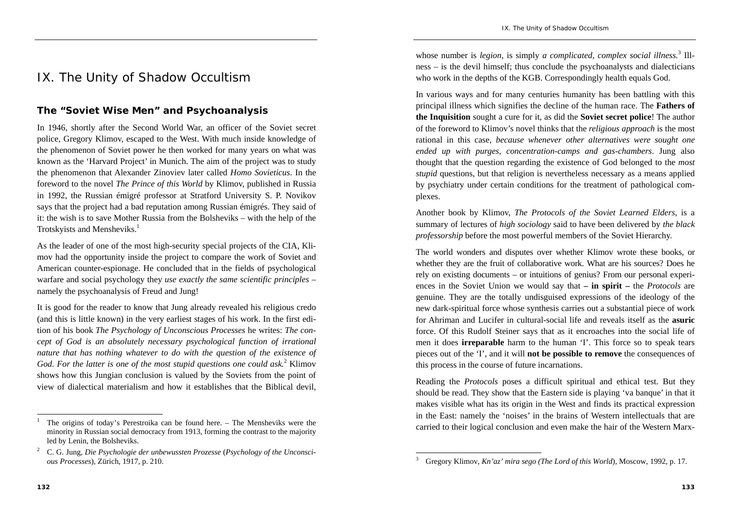## IX. The Unity of Shadow Occultism

## **The "Soviet Wise Men" and Psychoanalysis**

In 1946, shortly after the Second World War, an officer of the Soviet secret police, Gregory Klimov, escaped to the West. With much inside knowledge of the phenomenon of Soviet power he then worked for many years on what was known as the 'Harvard Project' in Munich. The aim of the project was to study the phenomenon that Alexander Zinoviev later called *Homo Sovieticus*. In the foreword to the novel *The Prince of this World* by Klimov, published in Russia in 1992, the Russian émigré professor at Stratford University S. P. Novikov says that the project had a bad reputation among Russian émigrés. They said of it: the wish is to save Mother Russia from the Bolsheviks – with the help of the Trotskyists and Mensheviks.<sup>1</sup>

As the leader of one of the most high-security special projects of the CIA, Klimov had the opportunity inside the project to compare the work of Soviet and American counter-espionage. He concluded that in the fields of psychological warfare and social psychology they *use exactly the same scientific principles* – namely the psychoanalysis of Freud and Jung!

It is good for the reader to know that Jung already revealed his religious credo (and this is little known) in the very earliest stages of his work. In the first edition of his book *The Psychology of Unconscious Processes* he writes: *The concept of God is an absolutely necessary psychological function of irrational nature that has nothing whatever to do with the question of the existence of God. For the latter is one of the most stupid questions one could ask.*2 Klimov shows how this Jungian conclusion is valued by the Soviets from the point of view of dialectical materialism and how it establishes that the Biblical devil,

whose number is *legion*, is simply *a complicated, complex social illness*.<sup>3</sup> Illness – is the devil himself; thus conclude the psychoanalysts and dialecticians who work in the depths of the KGB. Correspondingly health equals God.

In various ways and for many centuries humanity has been battling with this principal illness which signifies the decline of the human race. The **Fathers of the Inquisition** sought a cure for it, as did the **Soviet secret police**! The author of the foreword to Klimov's novel thinks that the *religious approach* is the most rational in this case, *because whenever other alternatives were sought one ended up with purges, concentration-camps and gas-chambers*. Jung also thought that the question regarding the existence of God belonged to the *most stupid* questions, but that religion is nevertheless necessary as a means applied by psychiatry under certain conditions for the treatment of pathological complexes.

Another book by Klimov, *The Protocols of the Soviet Learned Elders,* is a summary of lectures of *high sociology* said to have been delivered by *the black professorship* before the most powerful members of the Soviet Hierarchy.

The world wonders and disputes over whether Klimov wrote these books, or whether they are the fruit of collaborative work. What are his sources? Does he rely on existing documents – or intuitions of genius? From our personal experiences in the Soviet Union we would say that **– in spirit –** the *Protocols* are genuine. They are the totally undisguised expressions of the ideology of the new dark-spiritual force whose synthesis carries out a substantial piece of work for Ahriman and Lucifer in cultural-social life and reveals itself as the **asuric**force. Of this Rudolf Steiner says that as it encroaches into the social life of men it does **irreparable** harm to the human 'I'. This force so to speak tears pieces out of the 'I', and it will **not be possible to remove** the consequences of this process in the course of future incarnations.

Reading the *Protocols* poses a difficult spiritual and ethical test. But they should be read. They show that the Eastern side is playing 'va banque' in that it makes visible what has its origin in the West and finds its practical expression in the East: namely the 'noises' in the brains of Western intellectuals that are carried to their logical conclusion and even make the hair of the Western Marx-

<sup>1</sup> The origins of today's Perestroika can be found here. – The Mensheviks were the minority in Russian social democracy from 1913, forming the contrast to the majority led by Lenin, the Bolsheviks.

<sup>2</sup> C. G. Jung, *Die Psychologie der unbewussten Prozesse* (*Psychology of the Unconscious Processes*), Zürich, 1917, p. 210.

<sup>3</sup> Gregory Klimov, *Kn'az' mira sego (The Lord of this World*), Moscow, 1992, p. 17.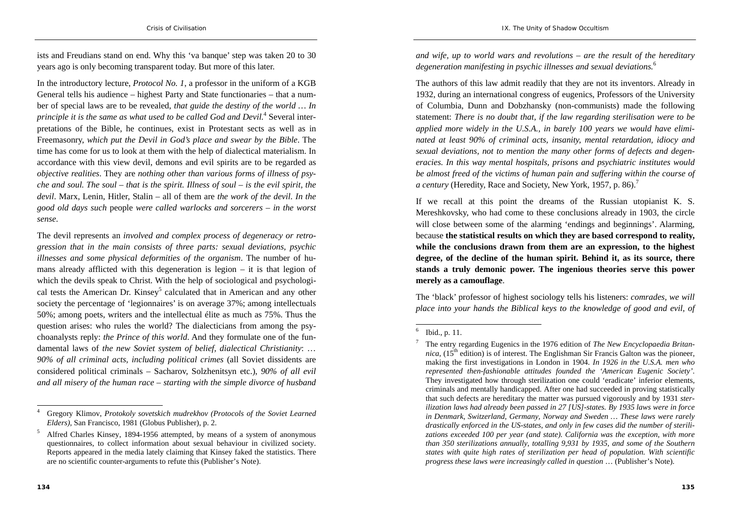ists and Freudians stand on end. Why this 'va banque' step was taken 20 to 30 years ago is only becoming transparent today. But more of this later.

In the introductory lecture, *Protocol No. 1*, a professor in the uniform of a KGB General tells his audience – highest Party and State functionaries – that a number of special laws are to be revealed, *that guide the destiny of the world … In principle it is the same as what used to be called God and Devil.*4 Several interpretations of the Bible, he continues, exist in Protestant sects as well as in Freemasonry, *which put the Devil in God's place and swear by the Bible*. The time has come for us to look at them with the help of dialectical materialism. In accordance with this view devil, demons and evil spirits are to be regarded as *objective realities*. They are *nothing other than various forms of illness of psyche and soul. The soul – that is the spirit. Illness of soul – is the evil spirit, the devil*. Marx, Lenin, Hitler, Stalin – all of them are *the work of the devil*. *In the good old days such* people *were called warlocks and sorcerers – in the worst sense*.

The devil represents an *involved and complex process of degeneracy or retrogression that in the main consists of three parts: sexual deviations, psychic illnesses and some physical deformities of the organism*. The number of humans already afflicted with this degeneration is legion – it is that legion of which the devils speak to Christ. With the help of sociological and psychological tests the American Dr. Kinsey<sup>5</sup> calculated that in American and any other society the percentage of 'legionnaires' is on average 37%; among intellectuals 50%; among poets, writers and the intellectual élite as much as 75%. Thus the question arises: who rules the world? The dialecticians from among the psychoanalysts reply: *the Prince of this world*. And they formulate one of the fundamental laws of *the new Soviet system of belief, dialectical Christianity*: … *90% of all criminal acts, including political crimes* (all Soviet dissidents are considered political criminals – Sacharov, Solzhenitsyn etc.), *90% of all evil and all misery of the human race – starting with the simple divorce of husband*  *and wife, up to world wars and revolutions – are the result of the hereditary degeneration manifesting in psychic illnesses and sexual deviations.*<sup>6</sup>

The authors of this law admit readily that they are not its inventors. Already in 1932, during an international congress of eugenics, Professors of the University of Columbia, Dunn and Dobzhansky (non-communists) made the following statement: *There is no doubt that, if the law regarding sterilisation were to be applied more widely in the U.S.A., in barely 100 years we would have eliminated at least 90% of criminal acts, insanity, mental retardation, idiocy and sexual deviations, not to mention the many other forms of defects and degeneracies. In this way mental hospitals, prisons and psychiatric institutes would be almost freed of the victims of human pain and suffering within the course of a century (Heredity, Race and Society, New York, 1957, p. 86).*<sup>7</sup>

If we recall at this point the dreams of the Russian utopianist K. S. Mereshkovsky, who had come to these conclusions already in 1903, the circle will close between some of the alarming 'endings and beginnings'. Alarming, because **the statistical results on which they are based correspond to reality, while the conclusions drawn from them are an expression, to the highest degree, of the decline of the human spirit. Behind it, as its source, there stands a truly demonic power. The ingenious theories serve this power merely as a camouflage**.

The 'black' professor of highest sociology tells his listeners: *comrades, we will place into your hands the Biblical keys to the knowledge of good and evil, of* 

<sup>4</sup> Gregory Klimov, *Protokoly sovetskich mudrekhov (Protocols of the Soviet Learned Elders)*, San Francisco, 1981 (Globus Publisher), p. 2.

<sup>5</sup> Alfred Charles Kinsey, 1894-1956 attempted, by means of a system of anonymous questionnaires, to collect information about sexual behaviour in civilized society. Reports appeared in the media lately claiming that Kinsey faked the statistics. There are no scientific counter-arguments to refute this (Publisher's Note).

 $6$  Ibid., p. 11.

<sup>7</sup> The entry regarding Eugenics in the 1976 edition of *The New Encyclopaedia Britannica*,  $(15<sup>th</sup>$  edition) is of interest. The Englishman Sir Francis Galton was the pioneer, making the first investigations in London in 1904. *In 1926 in the U.S.A. men who represented then-fashionable attitudes founded the 'American Eugenic Society'*. They investigated how through sterilization one could 'eradicate' inferior elements, criminals and mentally handicapped. After one had succeeded in proving statistically that such defects are hereditary the matter was pursued vigorously and by 1931 *sterilization laws had already been passed in 27 [US]-states. By 1935 laws were in force in Denmark, Switzerland, Germany, Norway and Sweden … These laws were rarely drastically enforced in the US-states, and only in few cases did the number of sterilizations exceeded 100 per year (and state). California was the exception, with more than 350 sterilizations annually, totalling 9,931 by 1935, and some of the Southern states with quite high rates of sterilization per head of population. With scientific progress these laws were increasingly called in question* … (Publisher's Note).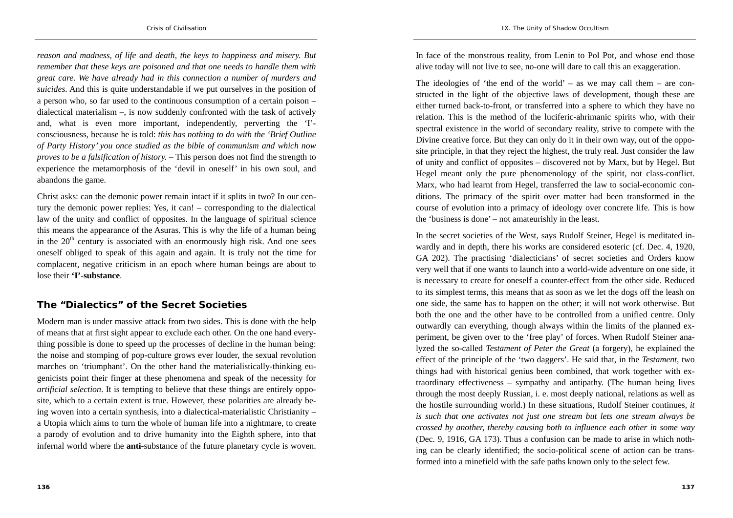*reason and madness, of life and death, the keys to happiness and misery. But remember that these keys are poisoned and that one needs to handle them with great care. We have already had in this connection a number of murders and suicides*. And this is quite understandable if we put ourselves in the position of a person who, so far used to the continuous consumption of a certain poison – dialectical materialism –, is now suddenly confronted with the task of actively and, what is even more important, independently, perverting the 'I' consciousness, because he is told: *this has nothing to do with the 'Brief Outline of Party History' you once studied as the bible of communism and which now proves to be a falsification of history.* – This person does not find the strength to experience the metamorphosis of the 'devil in oneself' in his own soul, and abandons the game.

Christ asks: can the demonic power remain intact if it splits in two? In our century the demonic power replies: Yes, it can! – corresponding to the dialectical law of the unity and conflict of opposites. In the language of spiritual science this means the appearance of the Asuras. This is why the life of a human being in the  $20<sup>th</sup>$  century is associated with an enormously high risk. And one sees oneself obliged to speak of this again and again. It is truly not the time for complacent, negative criticism in an epoch where human beings are about to lose their **'I'-substance**.

## **The "Dialectics" of the Secret Societies**

Modern man is under massive attack from two sides. This is done with the help of means that at first sight appear to exclude each other. On the one hand everything possible is done to speed up the processes of decline in the human being: the noise and stomping of pop-culture grows ever louder, the sexual revolution marches on 'triumphant'. On the other hand the materialistically-thinking eugenicists point their finger at these phenomena and speak of the necessity for *artificial selection*. It is tempting to believe that these things are entirely opposite, which to a certain extent is true. However, these polarities are already being woven into a certain synthesis, into a dialectical-materialistic Christianity – a Utopia which aims to turn the whole of human life into a nightmare, to create a parody of evolution and to drive humanity into the Eighth sphere, into that infernal world where the **anti**-substance of the future planetary cycle is woven.

In face of the monstrous reality, from Lenin to Pol Pot, and whose end those alive today will not live to see, no-one will dare to call this an exaggeration.

The ideologies of 'the end of the world' – as we may call them – are constructed in the light of the objective laws of development, though these are either turned back-to-front, or transferred into a sphere to which they have no relation. This is the method of the luciferic-ahrimanic spirits who, with their spectral existence in the world of secondary reality, strive to compete with the Divine creative force. But they can only do it in their own way, out of the opposite principle, in that they reject the highest, the truly real. Just consider the law of unity and conflict of opposites – discovered not by Marx, but by Hegel. But Hegel meant only the pure phenomenology of the spirit, not class-conflict. Marx, who had learnt from Hegel, transferred the law to social-economic conditions. The primacy of the spirit over matter had been transformed in the course of evolution into a primacy of ideology over concrete life. This is how the 'business is done' – not amateurishly in the least.

In the secret societies of the West, says Rudolf Steiner, Hegel is meditated inwardly and in depth, there his works are considered esoteric (cf. Dec. 4, 1920, GA 202). The practising 'dialecticians' of secret societies and Orders know very well that if one wants to launch into a world-wide adventure on one side, it is necessary to create for oneself a counter-effect from the other side. Reduced to its simplest terms, this means that as soon as we let the dogs off the leash on one side, the same has to happen on the other; it will not work otherwise. But both the one and the other have to be controlled from a unified centre. Only outwardly can everything, though always within the limits of the planned experiment, be given over to the 'free play' of forces. When Rudolf Steiner analyzed the so-called *Testament of Peter the Great* (a forgery), he explained the effect of the principle of the 'two daggers'. He said that, in the *Testament*, two things had with historical genius been combined, that work together with extraordinary effectiveness – sympathy and antipathy. (The human being lives through the most deeply Russian, i. e. most deeply national, relations as well as the hostile surrounding world.) In these situations, Rudolf Steiner continues, *it is such that one activates not just one stream but lets one stream always be crossed by another, thereby causing both to influence each other in some way* (Dec. 9, 1916, GA 173). Thus a confusion can be made to arise in which nothing can be clearly identified; the socio-political scene of action can be transformed into a minefield with the safe paths known only to the select few.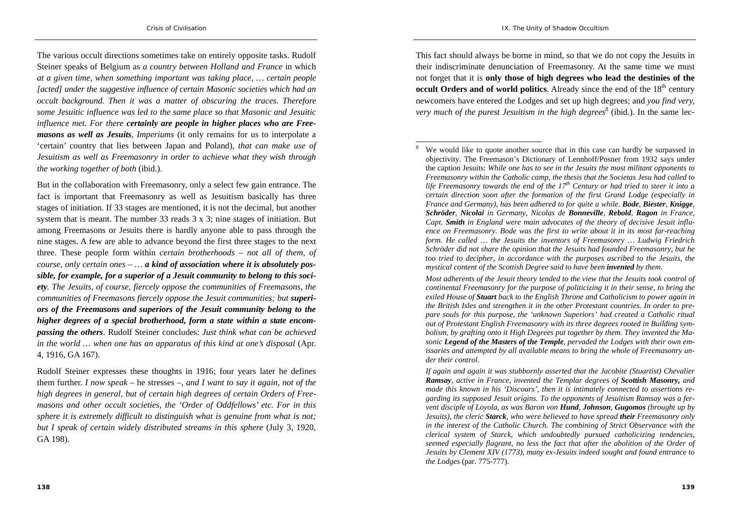The various occult directions sometimes take on entirely opposite tasks. Rudolf Steiner speaks of Belgium as *a country between Holland and France* in which *at a given time, when something important was taking place, … certain people [acted] under the suggestive influence of certain Masonic societies which had an occult background. Then it was a matter of obscuring the traces. Therefore some Jesuitic influence was led to the same place so that Masonic and Jesuitic influence met. For there certainly are people in higher places who are Freemasons as well as Jesuits, Imperiums* (it only remains for us to interpolate a 'certain' country that lies between Japan and Poland)*, that can make use of Jesuitism as well as Freemasonry in order to achieve what they wish through the working together of both* (ibid.).

But in the collaboration with Freemasonry, only a select few gain entrance. The fact is important that Freemasonry as well as Jesuitism basically has three stages of initiation. If 33 stages are mentioned, it is not the decimal, but another system that is meant. The number 33 reads 3 x 3; nine stages of initiation. But among Freemasons or Jesuits there is hardly anyone able to pass through the nine stages. A few are able to advance beyond the first three stages to the next three. These people form within *certain brotherhoods – not all of them, of course, only certain ones – … a kind of association where it is absolutely possible, for example, for a superior of a Jesuit community to belong to this society. The Jesuits, of course, fiercely oppose the communities of Freemasons, the*  communities of Freemasons fiercely oppose the Jesuit communities; but **superi***ors of the Freemasons and superiors of the Jesuit community belong to the higher degrees of a special brotherhood, form a state within a state encompassing the others*. Rudolf Steiner concludes: *Just think what can be achieved in the world … when one has an apparatus of this kind at one's disposal* (Apr. 4, 1916, GA 167).

Rudolf Steiner expresses these thoughts in 1916; four years later he defines them further. *I now speak* – he stresses –, *and I want to say it again, not of the high degrees in general, but of certain high degrees of certain Orders of Freemasons and other occult societies, the 'Order of Oddfellows' etc. For in this sphere it is extremely difficult to distinguish what is genuine from what is not; but I speak of certain widely distributed streams in this sphere* (July 3, 1920, GA 198).

This fact should always be borne in mind, so that we do not copy the Jesuits in their indiscriminate denunciation of Freemasonry. At the same time we must not forget that it is **only those of high degrees who lead the destinies of the occult Orders and of world politics**. Already since the end of the 18<sup>th</sup> century newcomers have entered the Lodges and set up high degrees; and *you find very, very much of the purest Jesuitism in the high degrees*<sup>8</sup> (ibid.). In the same lec-

*Most adherents of the Jesuit theory tended to the view that the Jesuits took control of continental Freemasonry for the purpose of politicizing it in their sense, to bring the exiled House of Stuart back to the English Throne and Catholicism to power again in the British Isles and strengthen it in the other Protestant countries. In order to prepare souls for this purpose, the 'unknown Superiors' had created a Catholic ritual out of Protestant English Freemasonry with its three degrees rooted in Building symbolism, by grafting onto it High Degrees put together by them. They invented the Masonic Legend of the Masters of the Temple, pervaded the Lodges with their own emissaries and attempted by all available means to bring the whole of Freemasonry under their control*.

*If again and again it was stubbornly asserted that the Jacobite (Stuartist) Chevalier Ramsay, active in France, invented the Templar degrees of Scottish Masonry, and made this known in his 'Discours', then it is intimately connected to assertions regarding its supposed Jesuit origins. To the opponents of Jesuitism Ramsay was a fervent disciple of Loyola, as was Baron von Hund, Johnson, Gugomos (brought up by Jesuits), the cleric Starck, who were believed to have spread their Freemasonry only in the interest of the Catholic Church. The combining of Strict Observance with the clerical system of Starck, which undoubtedly pursued catholicizing tendencies, seemed especially flagrant, no less the fact that after the abolition of the Order of Jesuits by Clement XIV (1773), many ex-Jesuits indeed sought and found entrance to the Lodges* (par. 775-777).

We would like to quote another source that in this case can hardly be surpassed in objectivity. The Freemason's Dictionary of Lennhoff/Posner from 1932 says under the caption Jesuits: *While one has to see in the Jesuits the most militant opponents to Freemasonry within the Catholic camp, the thesis that the Societas Jesu had called to life Freemasonry towards the end of the*  $17<sup>th</sup>$  *Century or had tried to steer it into a certain direction soon after the formation of the first Grand Lodge (especially in France and Germany), has been adhered to for quite a while. Bode, Biester, Knigge, Schröder, Nicolai in Germany, Nicolas de Bonneville, Rebold, Ragon in France, Capt. Smith in England were main advocates of the theory of decisive Jesuit influence on Freemasonry. Bode was the first to write about it in its most far-reaching form. He called … the Jesuits the inventors of Freemasonry … Ludwig Friedrich Schröder did not share the opinion that the Jesuits had founded Freemasonry, but he too tried to decipher, in accordance with the purposes ascribed to the Jesuits, the mystical content of the Scottish Degree said to have been invented by them*.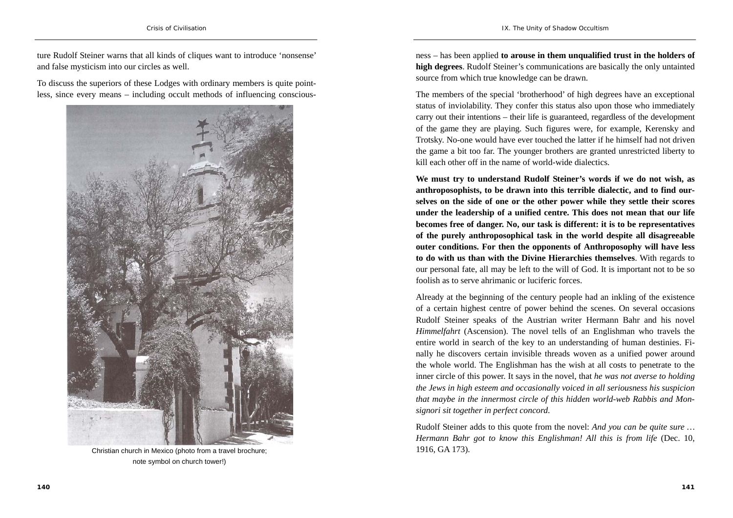ture Rudolf Steiner warns that all kinds of cliques want to introduce 'nonsense' and false mysticism into our circles as well.

To discuss the superiors of these Lodges with ordinary members is quite pointless, since every means – including occult methods of influencing conscious-



Christian church in Mexico (photo from a travel brochure; note symbol on church tower!)

ness – has been applied **to arouse in them unqualified trust in the holders of high degrees**. Rudolf Steiner's communications are basically the only untainted source from which true knowledge can be drawn.

The members of the special 'brotherhood' of high degrees have an exceptional status of inviolability. They confer this status also upon those who immediately carry out their intentions – their life is guaranteed, regardless of the development of the game they are playing. Such figures were, for example, Kerensky and Trotsky. No-one would have ever touched the latter if he himself had not driven the game a bit too far. The younger brothers are granted unrestricted liberty to kill each other off in the name of world-wide dialectics.

**We must try to understand Rudolf Steiner's words if we do not wish, as anthroposophists, to be drawn into this terrible dialectic, and to find ourselves on the side of one or the other power while they settle their scores under the leadership of a unified centre. This does not mean that our life becomes free of danger. No, our task is different: it is to be representatives of the purely anthroposophical task in the world despite all disagreeable outer conditions. For then the opponents of Anthroposophy will have less to do with us than with the Divine Hierarchies themselves**. With regards to our personal fate, all may be left to the will of God. It is important not to be so foolish as to serve ahrimanic or luciferic forces.

Already at the beginning of the century people had an inkling of the existence of a certain highest centre of power behind the scenes. On several occasions Rudolf Steiner speaks of the Austrian writer Hermann Bahr and his novel *Himmelfahrt* (Ascension). The novel tells of an Englishman who travels the entire world in search of the key to an understanding of human destinies. Finally he discovers certain invisible threads woven as a unified power around the whole world. The Englishman has the wish at all costs to penetrate to the inner circle of this power. It says in the novel, that *he was not averse to holding the Jews in high esteem and occasionally voiced in all seriousness his suspicion that maybe in the innermost circle of this hidden world-web Rabbis and Monsignori sit together in perfect concord*.

Rudolf Steiner adds to this quote from the novel: *And you can be quite sure … Hermann Bahr got to know this Englishman! All this is from life* (Dec. 10, 1916, GA 173).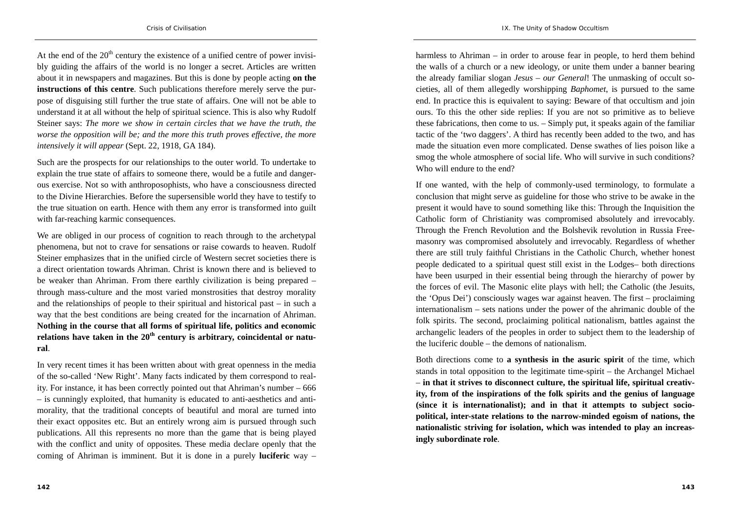At the end of the  $20<sup>th</sup>$  century the existence of a unified centre of power invisibly guiding the affairs of the world is no longer a secret. Articles are written about it in newspapers and magazines. But this is done by people acting **on the instructions of this centre**. Such publications therefore merely serve the purpose of disguising still further the true state of affairs. One will not be able to understand it at all without the help of spiritual science. This is also why Rudolf Steiner says: *The more we show in certain circles that we have the truth, the worse the opposition will be; and the more this truth proves effective, the more intensively it will appear* (Sept. 22, 1918, GA 184).

Such are the prospects for our relationships to the outer world. To undertake to explain the true state of affairs to someone there, would be a futile and dangerous exercise. Not so with anthroposophists, who have a consciousness directed to the Divine Hierarchies. Before the supersensible world they have to testify to the true situation on earth. Hence with them any error is transformed into guilt with far-reaching karmic consequences.

We are obliged in our process of cognition to reach through to the archetypal phenomena, but not to crave for sensations or raise cowards to heaven. Rudolf Steiner emphasizes that in the unified circle of Western secret societies there is a direct orientation towards Ahriman. Christ is known there and is believed to be weaker than Ahriman. From there earthly civilization is being prepared – through mass-culture and the most varied monstrosities that destroy morality and the relationships of people to their spiritual and historical past – in such a way that the best conditions are being created for the incarnation of Ahriman. **Nothing in the course that all forms of spiritual life, politics and economic**  relations have taken in the 20<sup>th</sup> century is arbitrary, coincidental or natu**ral**.

In very recent times it has been written about with great openness in the media of the so-called 'New Right'. Many facts indicated by them correspond to reality. For instance, it has been correctly pointed out that Ahriman's number – 666 – is cunningly exploited, that humanity is educated to anti-aesthetics and antimorality, that the traditional concepts of beautiful and moral are turned into their exact opposites etc. But an entirely wrong aim is pursued through such publications. All this represents no more than the game that is being played with the conflict and unity of opposites. These media declare openly that the coming of Ahriman is imminent. But it is done in a purely **luciferic** way –

harmless to Ahriman – in order to arouse fear in people, to herd them behind the walls of a church or a new ideology, or unite them under a banner bearing the already familiar slogan *Jesus – our General*! The unmasking of occult societies, all of them allegedly worshipping *Baphomet*, is pursued to the same end. In practice this is equivalent to saying: Beware of that occultism and join ours. To this the other side replies: If you are not so primitive as to believe these fabrications, then come to us. – Simply put, it speaks again of the familiar tactic of the 'two daggers'. A third has recently been added to the two, and has made the situation even more complicated. Dense swathes of lies poison like a smog the whole atmosphere of social life. Who will survive in such conditions? Who will endure to the end?

If one wanted, with the help of commonly-used terminology, to formulate a conclusion that might serve as guideline for those who strive to be awake in the present it would have to sound something like this: Through the Inquisition the Catholic form of Christianity was compromised absolutely and irrevocably. Through the French Revolution and the Bolshevik revolution in Russia Freemasonry was compromised absolutely and irrevocably. Regardless of whether there are still truly faithful Christians in the Catholic Church, whether honest people dedicated to a spiritual quest still exist in the Lodges– both directions have been usurped in their essential being through the hierarchy of power by the forces of evil. The Masonic elite plays with hell; the Catholic (the Jesuits, the 'Opus Dei') consciously wages war against heaven. The first – proclaiming internationalism – sets nations under the power of the ahrimanic double of the folk spirits. The second, proclaiming political nationalism, battles against the archangelic leaders of the peoples in order to subject them to the leadership of the luciferic double – the demons of nationalism.

Both directions come to **a synthesis in the asuric spirit** of the time, which stands in total opposition to the legitimate time-spirit – the Archangel Michael – **in that it strives to disconnect culture, the spiritual life, spiritual creativity, from of the inspirations of the folk spirits and the genius of language (since it is internationalist); and in that it attempts to subject sociopolitical, inter-state relations to the narrow-minded egoism of nations, the nationalistic striving for isolation, which was intended to play an increasingly subordinate role**.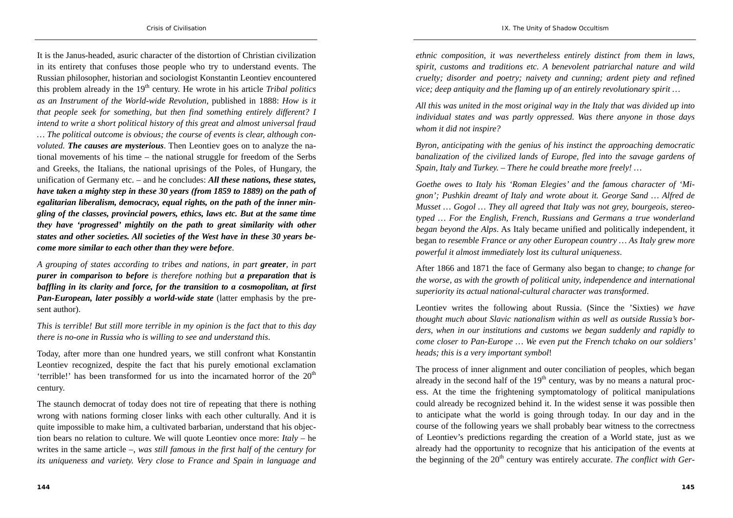It is the Janus-headed, asuric character of the distortion of Christian civilization in its entirety that confuses those people who try to understand events. The Russian philosopher, historian and sociologist Konstantin Leontiev encountered this problem already in the 19<sup>th</sup> century. He wrote in his article *Tribal politics as an Instrument of the World-wide Revolution*, published in 1888: *How is it that people seek for something, but then find something entirely different? I intend to write a short political history of this great and almost universal fraud … The political outcome is obvious; the course of events is clear, although convoluted. The causes are mysterious*. Then Leontiev goes on to analyze the national movements of his time – the national struggle for freedom of the Serbs and Greeks, the Italians, the national uprisings of the Poles, of Hungary, the unification of Germany etc. – and he concludes: *All these nations, these states, have taken a mighty step in these 30 years (from 1859 to 1889) on the path of egalitarian liberalism, democracy, equal rights, on the path of the inner mingling of the classes, provincial powers, ethics, laws etc. But at the same time they have 'progressed' mightily on the path to great similarity with other states and other societies. All societies of the West have in these 30 years become more similar to each other than they were before*.

*A grouping of states according to tribes and nations, in part greater, in part purer in comparison to before is therefore nothing but a preparation that is baffling in its clarity and force, for the transition to a cosmopolitan, at first Pan-European, later possibly a world-wide state* (latter emphasis by the present author).

*This is terrible! But still more terrible in my opinion is the fact that to this day there is no-one in Russia who is willing to see and understand this*.

Today, after more than one hundred years, we still confront what Konstantin Leontiev recognized, despite the fact that his purely emotional exclamation 'terrible!' has been transformed for us into the incarnated horror of the  $20<sup>th</sup>$ century.

The staunch democrat of today does not tire of repeating that there is nothing wrong with nations forming closer links with each other culturally. And it is quite impossible to make him, a cultivated barbarian, understand that his objection bears no relation to culture. We will quote Leontiev once more: *Italy* – he writes in the same article –, *was still famous in the first half of the century for its uniqueness and variety. Very close to France and Spain in language and* 

*ethnic composition, it was nevertheless entirely distinct from them in laws, spirit, customs and traditions etc. A benevolent patriarchal nature and wild cruelty; disorder and poetry; naivety and cunning; ardent piety and refined vice; deep antiquity and the flaming up of an entirely revolutionary spirit …* 

*All this was united in the most original way in the Italy that was divided up into individual states and was partly oppressed. Was there anyone in those days whom it did not inspire?* 

*Byron, anticipating with the genius of his instinct the approaching democratic banalization of the civilized lands of Europe, fled into the savage gardens of Spain, Italy and Turkey. – There he could breathe more freely! …* 

*Goethe owes to Italy his 'Roman Elegies' and the famous character of 'Mignon'; Pushkin dreamt of Italy and wrote about it. George Sand … Alfred de Musset … Gogol … They all agreed that Italy was not grey, bourgeois, stereotyped … For the English, French, Russians and Germans a true wonderland began beyond the Alps*. As Italy became unified and politically independent, it began *to resemble France or any other European country … As Italy grew more powerful it almost immediately lost its cultural uniqueness*.

After 1866 and 1871 the face of Germany also began to change; *to change for the worse, as with the growth of political unity, independence and international superiority its actual national-cultural character was transformed*.

Leontiev writes the following about Russia. (Since the 'Sixties) *we have thought much about Slavic nationalism within as well as outside Russia's borders, when in our institutions and customs we began suddenly and rapidly to come closer to Pan-Europe … We even put the French tchako on our soldiers' heads; this is a very important symbol*!

The process of inner alignment and outer conciliation of peoples, which began already in the second half of the  $19<sup>th</sup>$  century, was by no means a natural process. At the time the frightening symptomatology of political manipulations could already be recognized behind it. In the widest sense it was possible then to anticipate what the world is going through today. In our day and in the course of the following years we shall probably bear witness to the correctness of Leontiev's predictions regarding the creation of a World state, just as we already had the opportunity to recognize that his anticipation of the events at the beginning of the 20<sup>th</sup> century was entirely accurate. *The conflict with Ger-*